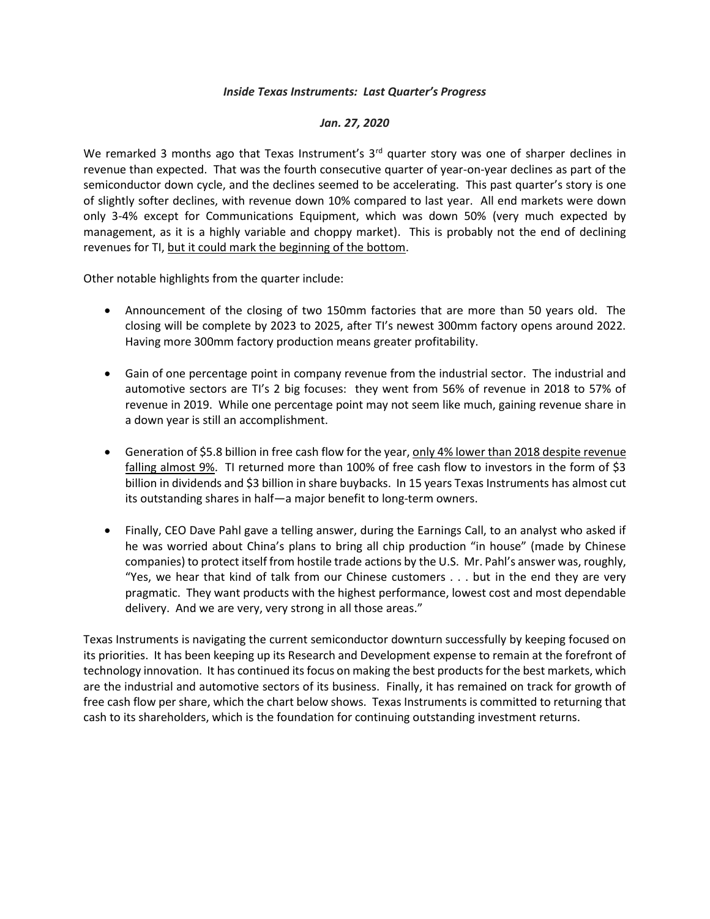## *Inside Texas Instruments: Last Quarter's Progress*

## *Jan. 27, 2020*

We remarked 3 months ago that Texas Instrument's 3<sup>rd</sup> quarter story was one of sharper declines in revenue than expected. That was the fourth consecutive quarter of year-on-year declines as part of the semiconductor down cycle, and the declines seemed to be accelerating. This past quarter's story is one of slightly softer declines, with revenue down 10% compared to last year. All end markets were down only 3-4% except for Communications Equipment, which was down 50% (very much expected by management, as it is a highly variable and choppy market). This is probably not the end of declining revenues for TI, but it could mark the beginning of the bottom.

Other notable highlights from the quarter include:

- Announcement of the closing of two 150mm factories that are more than 50 years old. The closing will be complete by 2023 to 2025, after TI's newest 300mm factory opens around 2022. Having more 300mm factory production means greater profitability.
- Gain of one percentage point in company revenue from the industrial sector. The industrial and automotive sectors are TI's 2 big focuses: they went from 56% of revenue in 2018 to 57% of revenue in 2019. While one percentage point may not seem like much, gaining revenue share in a down year is still an accomplishment.
- Generation of \$5.8 billion in free cash flow for the year, only 4% lower than 2018 despite revenue falling almost 9%. TI returned more than 100% of free cash flow to investors in the form of \$3 billion in dividends and \$3 billion in share buybacks. In 15 years Texas Instruments has almost cut its outstanding shares in half—a major benefit to long-term owners.
- Finally, CEO Dave Pahl gave a telling answer, during the Earnings Call, to an analyst who asked if he was worried about China's plans to bring all chip production "in house" (made by Chinese companies) to protect itself from hostile trade actions by the U.S. Mr. Pahl's answer was, roughly, "Yes, we hear that kind of talk from our Chinese customers . . . but in the end they are very pragmatic. They want products with the highest performance, lowest cost and most dependable delivery. And we are very, very strong in all those areas."

Texas Instruments is navigating the current semiconductor downturn successfully by keeping focused on its priorities. It has been keeping up its Research and Development expense to remain at the forefront of technology innovation. It has continued its focus on making the best products for the best markets, which are the industrial and automotive sectors of its business. Finally, it has remained on track for growth of free cash flow per share, which the chart below shows. Texas Instruments is committed to returning that cash to its shareholders, which is the foundation for continuing outstanding investment returns.